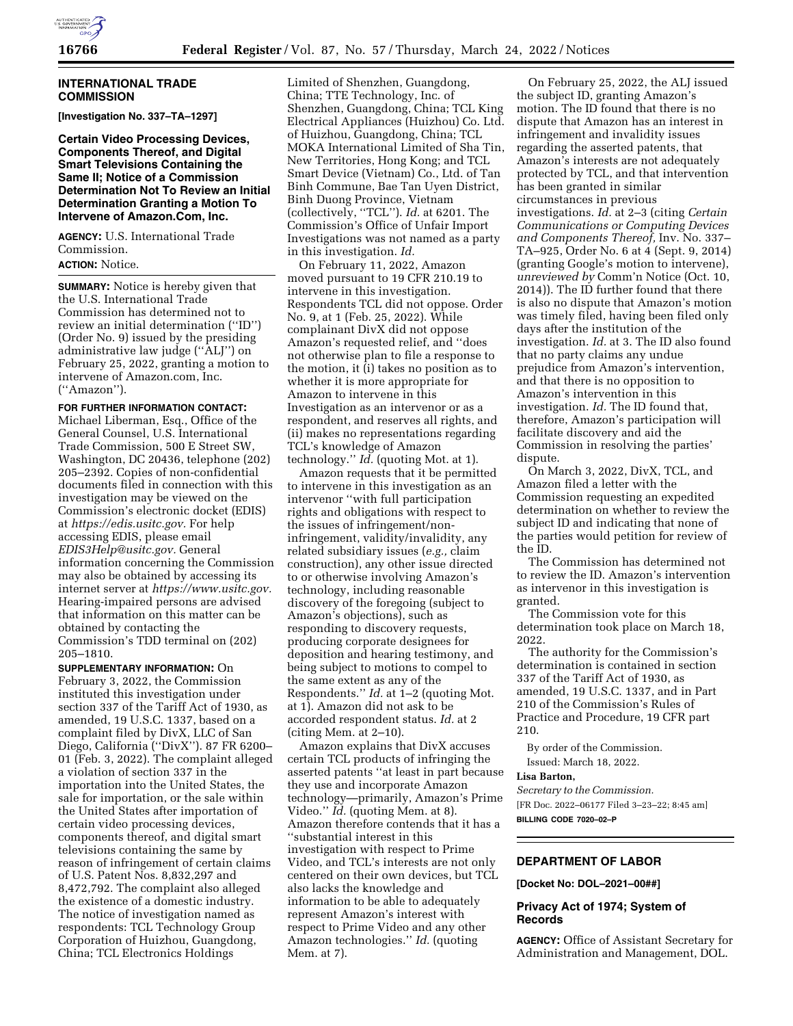

# **INTERNATIONAL TRADE COMMISSION**

**[Investigation No. 337–TA–1297]** 

**Certain Video Processing Devices, Components Thereof, and Digital Smart Televisions Containing the Same II; Notice of a Commission Determination Not To Review an Initial Determination Granting a Motion To Intervene of Amazon.Com, Inc.** 

**AGENCY:** U.S. International Trade Commission.

# **ACTION:** Notice.

**SUMMARY:** Notice is hereby given that the U.S. International Trade Commission has determined not to review an initial determination (''ID'') (Order No. 9) issued by the presiding administrative law judge (''ALJ'') on February 25, 2022, granting a motion to intervene of Amazon.com, Inc. (''Amazon'').

**FOR FURTHER INFORMATION CONTACT:**  Michael Liberman, Esq., Office of the General Counsel, U.S. International Trade Commission, 500 E Street SW, Washington, DC 20436, telephone (202) 205–2392. Copies of non-confidential documents filed in connection with this investigation may be viewed on the Commission's electronic docket (EDIS) at *[https://edis.usitc.gov.](https://edis.usitc.gov)* For help accessing EDIS, please email *[EDIS3Help@usitc.gov.](mailto:EDIS3Help@usitc.gov)* General information concerning the Commission may also be obtained by accessing its internet server at *[https://www.usitc.gov.](https://www.usitc.gov)*  Hearing-impaired persons are advised that information on this matter can be obtained by contacting the Commission's TDD terminal on (202) 205–1810.

**SUPPLEMENTARY INFORMATION:** On February 3, 2022, the Commission instituted this investigation under section 337 of the Tariff Act of 1930, as amended, 19 U.S.C. 1337, based on a complaint filed by DivX, LLC of San Diego, California (''DivX''). 87 FR 6200– 01 (Feb. 3, 2022). The complaint alleged a violation of section 337 in the importation into the United States, the sale for importation, or the sale within the United States after importation of certain video processing devices, components thereof, and digital smart televisions containing the same by reason of infringement of certain claims of U.S. Patent Nos. 8,832,297 and 8,472,792. The complaint also alleged the existence of a domestic industry. The notice of investigation named as respondents: TCL Technology Group Corporation of Huizhou, Guangdong, China; TCL Electronics Holdings

Limited of Shenzhen, Guangdong, China; TTE Technology, Inc. of Shenzhen, Guangdong, China; TCL King Electrical Appliances (Huizhou) Co. Ltd. of Huizhou, Guangdong, China; TCL MOKA International Limited of Sha Tin, New Territories, Hong Kong; and TCL Smart Device (Vietnam) Co., Ltd. of Tan Binh Commune, Bae Tan Uyen District, Binh Duong Province, Vietnam (collectively, ''TCL''). *Id.* at 6201. The Commission's Office of Unfair Import Investigations was not named as a party in this investigation. *Id.* 

On February 11, 2022, Amazon moved pursuant to 19 CFR 210.19 to intervene in this investigation. Respondents TCL did not oppose. Order No. 9, at 1 (Feb. 25, 2022). While complainant DivX did not oppose Amazon's requested relief, and ''does not otherwise plan to file a response to the motion, it (i) takes no position as to whether it is more appropriate for Amazon to intervene in this Investigation as an intervenor or as a respondent, and reserves all rights, and (ii) makes no representations regarding TCL's knowledge of Amazon technology.'' *Id.* (quoting Mot. at 1).

Amazon requests that it be permitted to intervene in this investigation as an intervenor ''with full participation rights and obligations with respect to the issues of infringement/noninfringement, validity/invalidity, any related subsidiary issues (*e.g.,* claim construction), any other issue directed to or otherwise involving Amazon's technology, including reasonable discovery of the foregoing (subject to Amazon's objections), such as responding to discovery requests, producing corporate designees for deposition and hearing testimony, and being subject to motions to compel to the same extent as any of the Respondents.'' *Id.* at 1–2 (quoting Mot. at 1). Amazon did not ask to be accorded respondent status. *Id.* at 2 (citing Mem. at 2–10).

Amazon explains that DivX accuses certain TCL products of infringing the asserted patents ''at least in part because they use and incorporate Amazon technology—primarily, Amazon's Prime Video.'' *Id.* (quoting Mem. at 8). Amazon therefore contends that it has a ''substantial interest in this investigation with respect to Prime Video, and TCL's interests are not only centered on their own devices, but TCL also lacks the knowledge and information to be able to adequately represent Amazon's interest with respect to Prime Video and any other Amazon technologies.'' *Id.* (quoting Mem. at 7).

On February 25, 2022, the ALJ issued the subject ID, granting Amazon's motion. The ID found that there is no dispute that Amazon has an interest in infringement and invalidity issues regarding the asserted patents, that Amazon's interests are not adequately protected by TCL, and that intervention has been granted in similar circumstances in previous investigations. *Id.* at 2–3 (citing *Certain Communications or Computing Devices and Components Thereof,* Inv. No. 337– TA–925, Order No. 6 at 4 (Sept. 9, 2014) (granting Google's motion to intervene), *unreviewed by* Comm'n Notice (Oct. 10, 2014)). The ID further found that there is also no dispute that Amazon's motion was timely filed, having been filed only days after the institution of the investigation. *Id.* at 3. The ID also found that no party claims any undue prejudice from Amazon's intervention, and that there is no opposition to Amazon's intervention in this investigation. *Id.* The ID found that, therefore, Amazon's participation will facilitate discovery and aid the Commission in resolving the parties' dispute.

On March 3, 2022, DivX, TCL, and Amazon filed a letter with the Commission requesting an expedited determination on whether to review the subject ID and indicating that none of the parties would petition for review of the ID.

The Commission has determined not to review the ID. Amazon's intervention as intervenor in this investigation is granted.

The Commission vote for this determination took place on March 18, 2022.

The authority for the Commission's determination is contained in section 337 of the Tariff Act of 1930, as amended, 19 U.S.C. 1337, and in Part 210 of the Commission's Rules of Practice and Procedure, 19 CFR part 210.

By order of the Commission. Issued: March 18, 2022.

#### **Lisa Barton,**

*Secretary to the Commission.*  [FR Doc. 2022–06177 Filed 3–23–22; 8:45 am] **BILLING CODE 7020–02–P** 

# **DEPARTMENT OF LABOR**

**[Docket No: DOL–2021–00##]** 

# **Privacy Act of 1974; System of Records**

**AGENCY:** Office of Assistant Secretary for Administration and Management, DOL.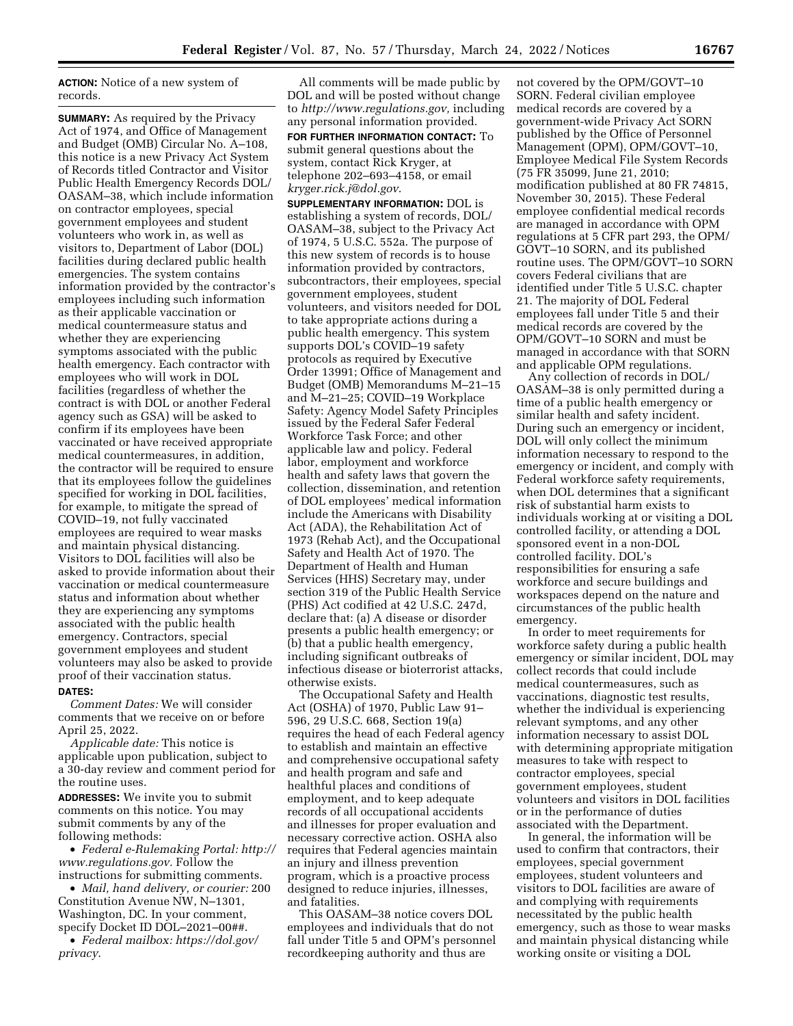**ACTION:** Notice of a new system of records.

**SUMMARY:** As required by the Privacy Act of 1974, and Office of Management and Budget (OMB) Circular No. A–108, this notice is a new Privacy Act System of Records titled Contractor and Visitor Public Health Emergency Records DOL/ OASAM–38, which include information on contractor employees, special government employees and student volunteers who work in, as well as visitors to, Department of Labor (DOL) facilities during declared public health emergencies. The system contains information provided by the contractor's employees including such information as their applicable vaccination or medical countermeasure status and whether they are experiencing symptoms associated with the public health emergency. Each contractor with employees who will work in DOL facilities (regardless of whether the contract is with DOL or another Federal agency such as GSA) will be asked to confirm if its employees have been vaccinated or have received appropriate medical countermeasures, in addition, the contractor will be required to ensure that its employees follow the guidelines specified for working in DOL facilities, for example, to mitigate the spread of COVID–19, not fully vaccinated employees are required to wear masks and maintain physical distancing. Visitors to DOL facilities will also be asked to provide information about their vaccination or medical countermeasure status and information about whether they are experiencing any symptoms associated with the public health emergency. Contractors, special government employees and student volunteers may also be asked to provide proof of their vaccination status.

#### **DATES:**

*Comment Dates:* We will consider comments that we receive on or before April 25, 2022.

*Applicable date:* This notice is applicable upon publication, subject to a 30-day review and comment period for the routine uses.

**ADDRESSES:** We invite you to submit comments on this notice. You may submit comments by any of the following methods:

• *Federal e-Rulemaking Portal: [http://](http://www.regulations.gov)  [www.regulations.gov.](http://www.regulations.gov)* Follow the instructions for submitting comments.

• *Mail, hand delivery, or courier:* 200 Constitution Avenue NW, N–1301, Washington, DC. In your comment, specify Docket ID DOL–2021–00##. • *Federal mailbox: [https://dol.gov/](https://dol.gov/privacy)* 

*[privacy](https://dol.gov/privacy)*.

All comments will be made public by DOL and will be posted without change to *[http://www.regulations.gov,](http://www.regulations.gov)* including any personal information provided.

**FOR FURTHER INFORMATION CONTACT:** To submit general questions about the system, contact Rick Kryger, at telephone 202–693–4158, or email *[kryger.rick.j@dol.gov](mailto:kryger.rick.j@dol.gov)*.

**SUPPLEMENTARY INFORMATION:** DOL is establishing a system of records, DOL/ OASAM–38, subject to the Privacy Act of 1974, 5 U.S.C. 552a. The purpose of this new system of records is to house information provided by contractors, subcontractors, their employees, special government employees, student volunteers, and visitors needed for DOL to take appropriate actions during a public health emergency. This system supports DOL's COVID–19 safety protocols as required by Executive Order 13991; Office of Management and Budget (OMB) Memorandums M–21–15 and M–21–25; COVID–19 Workplace Safety: Agency Model Safety Principles issued by the Federal Safer Federal Workforce Task Force; and other applicable law and policy. Federal labor, employment and workforce health and safety laws that govern the collection, dissemination, and retention of DOL employees' medical information include the Americans with Disability Act (ADA), the Rehabilitation Act of 1973 (Rehab Act), and the Occupational Safety and Health Act of 1970. The Department of Health and Human Services (HHS) Secretary may, under section 319 of the Public Health Service (PHS) Act codified at 42 U.S.C. 247d, declare that: (a) A disease or disorder presents a public health emergency; or (b) that a public health emergency, including significant outbreaks of infectious disease or bioterrorist attacks, otherwise exists.

The Occupational Safety and Health Act (OSHA) of 1970, Public Law 91– 596, 29 U.S.C. 668, Section 19(a) requires the head of each Federal agency to establish and maintain an effective and comprehensive occupational safety and health program and safe and healthful places and conditions of employment, and to keep adequate records of all occupational accidents and illnesses for proper evaluation and necessary corrective action. OSHA also requires that Federal agencies maintain an injury and illness prevention program, which is a proactive process designed to reduce injuries, illnesses, and fatalities.

This OASAM–38 notice covers DOL employees and individuals that do not fall under Title 5 and OPM's personnel recordkeeping authority and thus are

not covered by the OPM/GOVT–10 SORN. Federal civilian employee medical records are covered by a government-wide Privacy Act SORN published by the Office of Personnel Management (OPM), OPM/GOVT–10, Employee Medical File System Records (75 FR 35099, June 21, 2010; modification published at 80 FR 74815, November 30, 2015). These Federal employee confidential medical records are managed in accordance with OPM regulations at 5 CFR part 293, the OPM/ GOVT–10 SORN, and its published routine uses. The OPM/GOVT–10 SORN covers Federal civilians that are identified under Title 5 U.S.C. chapter 21. The majority of DOL Federal employees fall under Title 5 and their medical records are covered by the OPM/GOVT–10 SORN and must be managed in accordance with that SORN and applicable OPM regulations.

Any collection of records in DOL/ OASAM–38 is only permitted during a time of a public health emergency or similar health and safety incident. During such an emergency or incident, DOL will only collect the minimum information necessary to respond to the emergency or incident, and comply with Federal workforce safety requirements, when DOL determines that a significant risk of substantial harm exists to individuals working at or visiting a DOL controlled facility, or attending a DOL sponsored event in a non-DOL controlled facility. DOL's responsibilities for ensuring a safe workforce and secure buildings and workspaces depend on the nature and circumstances of the public health emergency.

In order to meet requirements for workforce safety during a public health emergency or similar incident, DOL may collect records that could include medical countermeasures, such as vaccinations, diagnostic test results, whether the individual is experiencing relevant symptoms, and any other information necessary to assist DOL with determining appropriate mitigation measures to take with respect to contractor employees, special government employees, student volunteers and visitors in DOL facilities or in the performance of duties associated with the Department.

In general, the information will be used to confirm that contractors, their employees, special government employees, student volunteers and visitors to DOL facilities are aware of and complying with requirements necessitated by the public health emergency, such as those to wear masks and maintain physical distancing while working onsite or visiting a DOL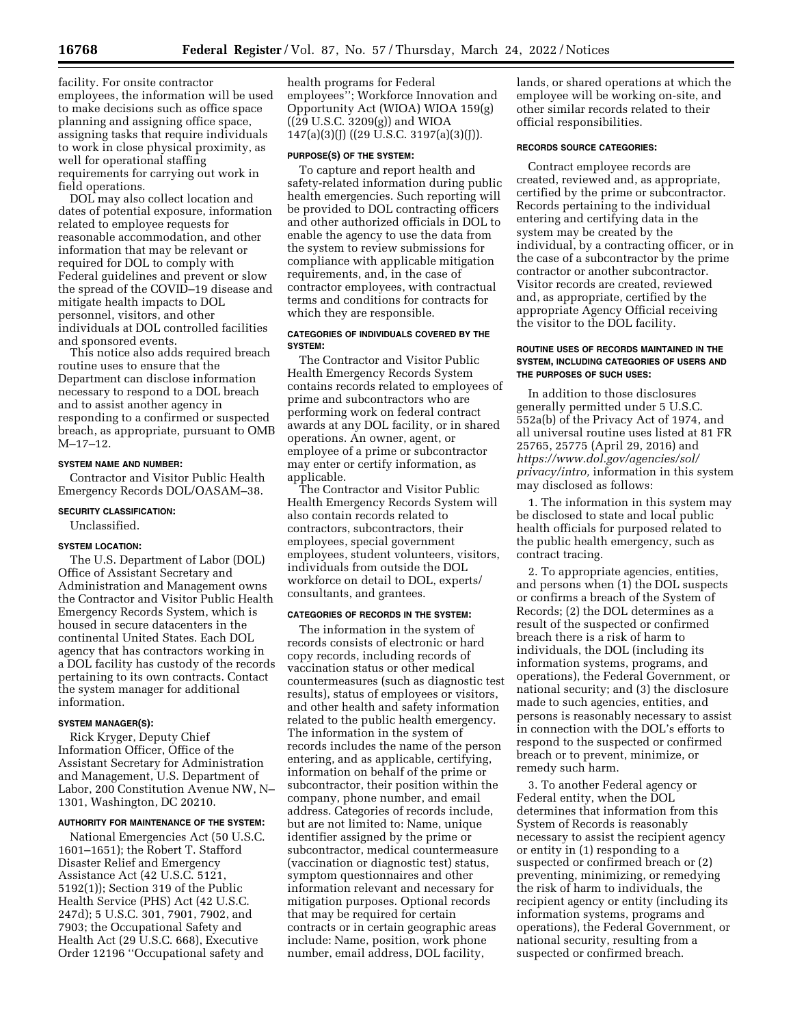facility. For onsite contractor employees, the information will be used to make decisions such as office space planning and assigning office space, assigning tasks that require individuals to work in close physical proximity, as well for operational staffing requirements for carrying out work in field operations.

DOL may also collect location and dates of potential exposure, information related to employee requests for reasonable accommodation, and other information that may be relevant or required for DOL to comply with Federal guidelines and prevent or slow the spread of the COVID–19 disease and mitigate health impacts to DOL personnel, visitors, and other individuals at DOL controlled facilities and sponsored events.

This notice also adds required breach routine uses to ensure that the Department can disclose information necessary to respond to a DOL breach and to assist another agency in responding to a confirmed or suspected breach, as appropriate, pursuant to OMB M–17–12.

## **SYSTEM NAME AND NUMBER:**

Contractor and Visitor Public Health Emergency Records DOL/OASAM–38.

#### **SECURITY CLASSIFICATION:**

Unclassified.

#### **SYSTEM LOCATION:**

The U.S. Department of Labor (DOL) Office of Assistant Secretary and Administration and Management owns the Contractor and Visitor Public Health Emergency Records System, which is housed in secure datacenters in the continental United States. Each DOL agency that has contractors working in a DOL facility has custody of the records pertaining to its own contracts. Contact the system manager for additional information.

#### **SYSTEM MANAGER(S):**

Rick Kryger, Deputy Chief Information Officer, Office of the Assistant Secretary for Administration and Management, U.S. Department of Labor, 200 Constitution Avenue NW, N– 1301, Washington, DC 20210.

## **AUTHORITY FOR MAINTENANCE OF THE SYSTEM:**

National Emergencies Act (50 U.S.C. 1601–1651); the Robert T. Stafford Disaster Relief and Emergency Assistance Act (42 U.S.C. 5121, 5192(1)); Section 319 of the Public Health Service (PHS) Act (42 U.S.C. 247d); 5 U.S.C. 301, 7901, 7902, and 7903; the Occupational Safety and Health Act (29 U.S.C. 668), Executive Order 12196 ''Occupational safety and

health programs for Federal employees''; Workforce Innovation and Opportunity Act (WIOA) WIOA 159(g) ((29 U.S.C. 3209(g)) and WIOA 147(a)(3)(J) ((29 U.S.C. 3197(a)(3)(J)).

#### **PURPOSE(S) OF THE SYSTEM:**

To capture and report health and safety-related information during public health emergencies. Such reporting will be provided to DOL contracting officers and other authorized officials in DOL to enable the agency to use the data from the system to review submissions for compliance with applicable mitigation requirements, and, in the case of contractor employees, with contractual terms and conditions for contracts for which they are responsible.

# **CATEGORIES OF INDIVIDUALS COVERED BY THE SYSTEM:**

The Contractor and Visitor Public Health Emergency Records System contains records related to employees of prime and subcontractors who are performing work on federal contract awards at any DOL facility, or in shared operations. An owner, agent, or employee of a prime or subcontractor may enter or certify information, as applicable.

The Contractor and Visitor Public Health Emergency Records System will also contain records related to contractors, subcontractors, their employees, special government employees, student volunteers, visitors, individuals from outside the DOL workforce on detail to DOL, experts/ consultants, and grantees.

#### **CATEGORIES OF RECORDS IN THE SYSTEM:**

The information in the system of records consists of electronic or hard copy records, including records of vaccination status or other medical countermeasures (such as diagnostic test results), status of employees or visitors, and other health and safety information related to the public health emergency. The information in the system of records includes the name of the person entering, and as applicable, certifying, information on behalf of the prime or subcontractor, their position within the company, phone number, and email address. Categories of records include, but are not limited to: Name, unique identifier assigned by the prime or subcontractor, medical countermeasure (vaccination or diagnostic test) status, symptom questionnaires and other information relevant and necessary for mitigation purposes. Optional records that may be required for certain contracts or in certain geographic areas include: Name, position, work phone number, email address, DOL facility,

lands, or shared operations at which the employee will be working on-site, and other similar records related to their official responsibilities.

## **RECORDS SOURCE CATEGORIES:**

Contract employee records are created, reviewed and, as appropriate, certified by the prime or subcontractor. Records pertaining to the individual entering and certifying data in the system may be created by the individual, by a contracting officer, or in the case of a subcontractor by the prime contractor or another subcontractor. Visitor records are created, reviewed and, as appropriate, certified by the appropriate Agency Official receiving the visitor to the DOL facility.

# **ROUTINE USES OF RECORDS MAINTAINED IN THE SYSTEM, INCLUDING CATEGORIES OF USERS AND THE PURPOSES OF SUCH USES:**

In addition to those disclosures generally permitted under 5 U.S.C. 552a(b) of the Privacy Act of 1974, and all universal routine uses listed at 81 FR 25765, 25775 (April 29, 2016) and *[https://www.dol.gov/agencies/sol/](https://www.dol.gov/agencies/sol/privacy/intro) [privacy/intro,](https://www.dol.gov/agencies/sol/privacy/intro)* information in this system may disclosed as follows:

1. The information in this system may be disclosed to state and local public health officials for purposed related to the public health emergency, such as contract tracing.

2. To appropriate agencies, entities, and persons when (1) the DOL suspects or confirms a breach of the System of Records; (2) the DOL determines as a result of the suspected or confirmed breach there is a risk of harm to individuals, the DOL (including its information systems, programs, and operations), the Federal Government, or national security; and (3) the disclosure made to such agencies, entities, and persons is reasonably necessary to assist in connection with the DOL's efforts to respond to the suspected or confirmed breach or to prevent, minimize, or remedy such harm.

3. To another Federal agency or Federal entity, when the DOL determines that information from this System of Records is reasonably necessary to assist the recipient agency or entity in (1) responding to a suspected or confirmed breach or (2) preventing, minimizing, or remedying the risk of harm to individuals, the recipient agency or entity (including its information systems, programs and operations), the Federal Government, or national security, resulting from a suspected or confirmed breach.